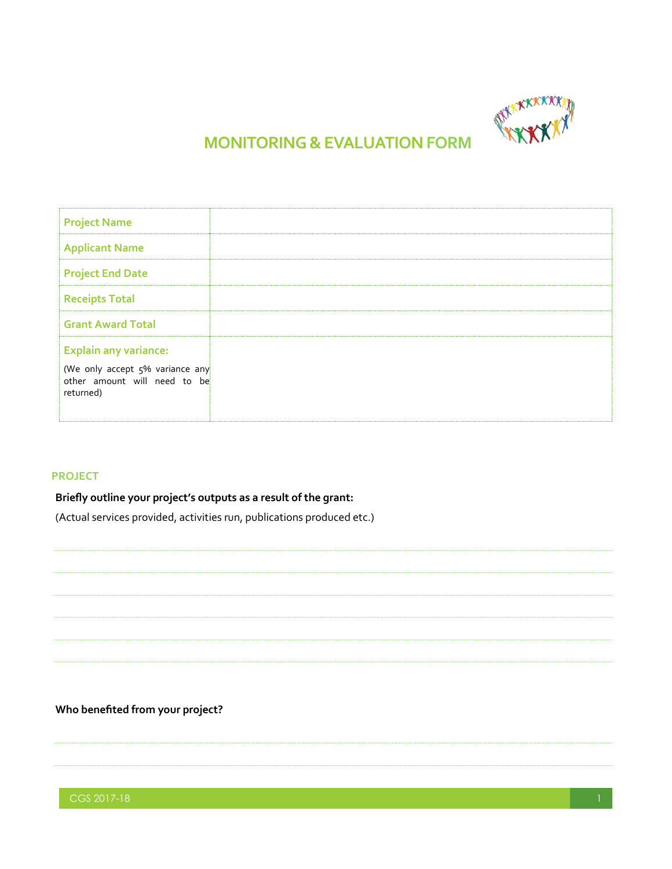

# **MONITORING & EVALUATION FORM**

| <b>Project Name</b>                                                                                          |  |
|--------------------------------------------------------------------------------------------------------------|--|
| <b>Applicant Name</b>                                                                                        |  |
| <b>Project End Date</b>                                                                                      |  |
| <b>Receipts Total</b>                                                                                        |  |
| <b>Grant Award Total</b>                                                                                     |  |
| <b>Explain any variance:</b><br>(We only accept 5% variance any<br>other amount will need to be<br>returned) |  |

#### **PROJECT**

## **Briefly outline your project's outputs as a result of the grant:**

(Actual services provided, activities run, publications produced etc.)

## **Who benefited from your project?**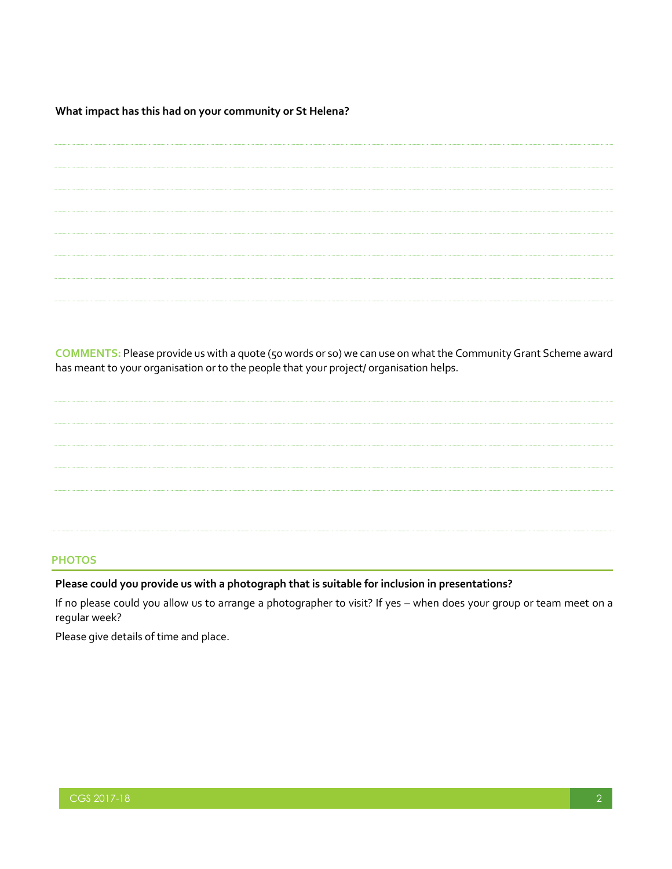**What impact has this had on your community or St Helena?**

**COMMENTS:** Please provide us with a quote (50 words or so) we can use on what the Community Grant Scheme award has meant to your organisation or to the people that your project/ organisation helps.

## **PHOTOS**

### **Please could you provide us with a photograph that is suitable for inclusion in presentations?**

If no please could you allow us to arrange a photographer to visit? If yes – when does your group or team meet on a regular week?

Please give details of time and place.